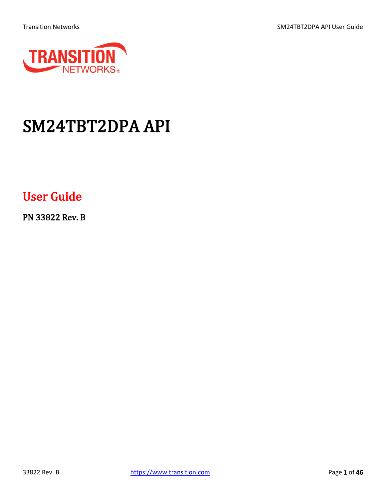Transition Networks **SM24TBT2DPA API User Guide** 



# SM24TBT2DPA API

## User Guide

PN 33822 Rev. B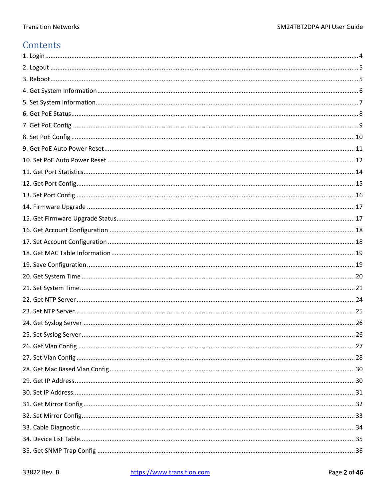### Contents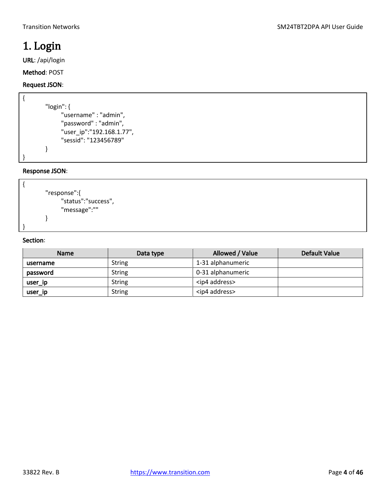### <span id="page-3-0"></span>1. Login

URL: /api/login

Method: POST

#### Request JSON:

{

}

| "login": $\{$             |
|---------------------------|
| "username" : "admin",     |
| "password": "admin",      |
| "user_ip":"192.168.1.77", |
| "sessid": "123456789"     |
|                           |
|                           |

#### Response JSON:



| <b>Name</b> | Data type     | Allowed / Value        | Default Value |
|-------------|---------------|------------------------|---------------|
| username    | <b>String</b> | 1-31 alphanumeric      |               |
| password    | <b>String</b> | 0-31 alphanumeric      |               |
| user_ip     | <b>String</b> | <ip4 address=""></ip4> |               |
| user_ip     | <b>String</b> | <ip4 address=""></ip4> |               |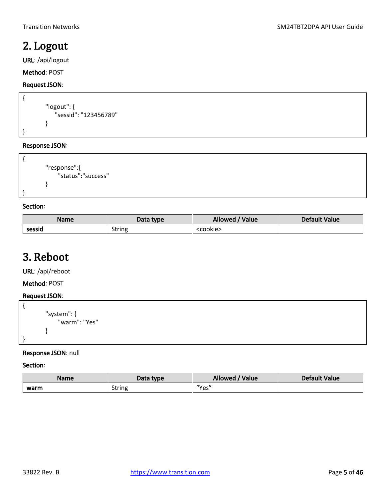### <span id="page-4-0"></span>2. Logout

URL: /api/logout

Method: POST

#### Request JSON:

```
{
        "logout": {
             "sessid": "123456789"
        }
}
```
#### Response JSON:

```
{
        "response":{
              "status":"success"
        }
}
```
#### Section:

| <b>Name</b> | Data type     | Allowed / Value   | Default Value |
|-------------|---------------|-------------------|---------------|
| sessid      | <b>String</b> | <cookie></cookie> |               |

### <span id="page-4-1"></span>3. Reboot

URL: /api/reboot

Method: POST

#### Request JSON:

```
{
        "system": {
              "warm": "Yes"
        }
}
```
#### Response JSON: null

| Name | Data type | Allowed<br>'Value | Default Value |
|------|-----------|-------------------|---------------|
| warm | String    | "Yes"             |               |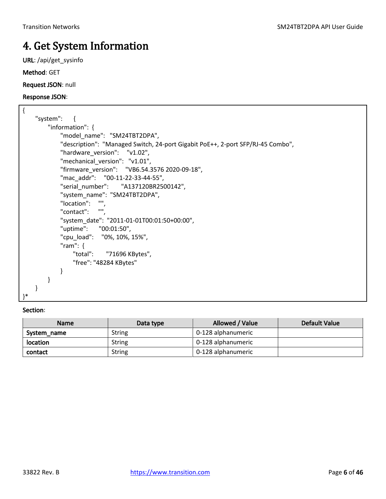### <span id="page-5-0"></span>4. Get System Information

URL: /api/get\_sysinfo

Method: GET

Request JSON: null

#### Response JSON:

| $\{$                                                                            |  |
|---------------------------------------------------------------------------------|--|
| "system":<br>$\mathcal{L}$                                                      |  |
| "information": $\{$                                                             |  |
| "model_name": "SM24TBT2DPA",                                                    |  |
| "description": "Managed Switch, 24-port Gigabit PoE++, 2-port SFP/RJ-45 Combo", |  |
| "hardware_version": "v1.02",                                                    |  |
| "mechanical_version": "v1.01",                                                  |  |
| "firmware version": "VB6.54.3576 2020-09-18",                                   |  |
| "mac_addr": "00-11-22-33-44-55",                                                |  |
| "serial number": "A137120BR2500142",                                            |  |
| "system_name": "SM24TBT2DPA",                                                   |  |
| "location": "",                                                                 |  |
| <b>HH</b><br>"contact": "",                                                     |  |
| "system_date": "2011-01-01T00:01:50+00:00",                                     |  |
| "uptime": "00:01:50",                                                           |  |
| "cpu load": "0%, 10%, 15%",                                                     |  |
| "ram": $\{$                                                                     |  |
| "total": "71696 KBytes",                                                        |  |
| "free": "48284 KBytes"                                                          |  |
|                                                                                 |  |
|                                                                                 |  |
|                                                                                 |  |
| }*                                                                              |  |

| <b>Name</b> | Data type     | Allowed / Value    | <b>Default Value</b> |
|-------------|---------------|--------------------|----------------------|
| System name | <b>String</b> | 0-128 alphanumeric |                      |
| location    | <b>String</b> | 0-128 alphanumeric |                      |
| contact     | <b>String</b> | 0-128 alphanumeric |                      |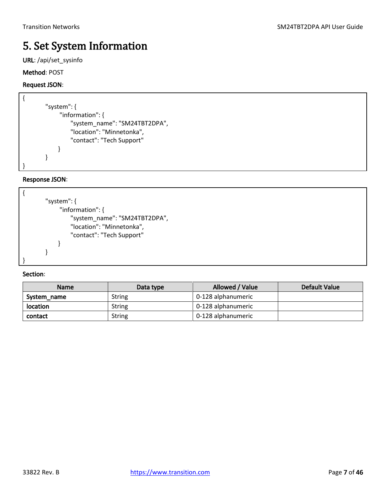### <span id="page-6-0"></span>5. Set System Information

URL: /api/set\_sysinfo

#### Method: POST

#### Request JSON:

| "system": $\{$                |
|-------------------------------|
| "information": {              |
| "system name": "SM24TBT2DPA", |
| "location": "Minnetonka",     |
| "contact": "Tech Support"     |
|                               |
|                               |
|                               |

#### Response JSON:

| "system": $\{$                |
|-------------------------------|
| "information": {              |
| "system_name": "SM24TBT2DPA", |
| "location": "Minnetonka",     |
| "contact": "Tech Support"     |
|                               |
|                               |
|                               |

| <b>Name</b>     | Data type     | Allowed / Value    | Default Value |
|-----------------|---------------|--------------------|---------------|
| System_name     | <b>String</b> | 0-128 alphanumeric |               |
| <b>location</b> | <b>String</b> | 0-128 alphanumeric |               |
| contact         | <b>String</b> | 0-128 alphanumeric |               |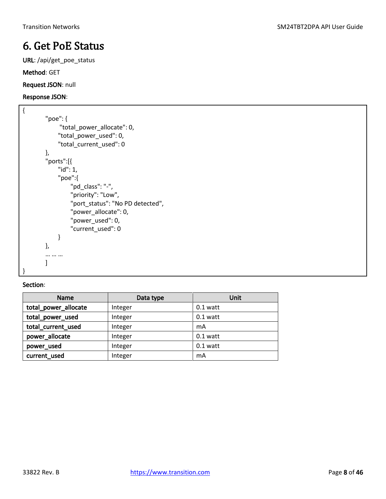### <span id="page-7-0"></span>6. Get PoE Status

URL: /api/get\_poe\_status

Method: GET

Request JSON: null

#### Response JSON:

```
{
        "poe": {
              "total_power_allocate": 0,
              "total_power_used": 0,
              "total_current_used": 0
        },
        "ports":[{
              "id": 1,
              "poe":{
                  "pd_class": "-",
                   "priority": "Low",
                  "port_status": "No PD detected",
                   "power_allocate": 0,
                   "power_used": 0,
                   "current_used": 0
              }
        },
        … … …
        ]
}
```

| <b>Name</b>          | Data type | Unit       |
|----------------------|-----------|------------|
| total_power_allocate | Integer   | $0.1$ watt |
| total_power_used     | Integer   | $0.1$ watt |
| total_current_used   | Integer   | mA         |
| power_allocate       | Integer   | $0.1$ watt |
| power used           | Integer   | $0.1$ watt |
| current_used         | Integer   | mA         |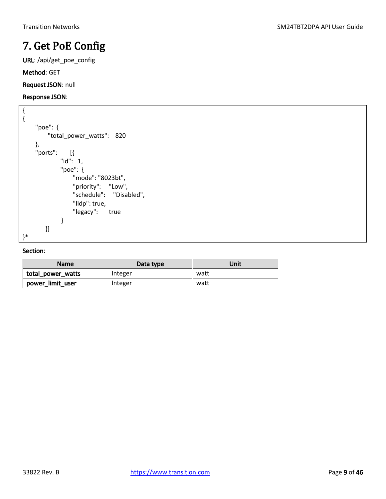### <span id="page-8-0"></span>7. Get PoE Config

URL: /api/get\_poe\_config

Method: GET

Request JSON: null

#### Response JSON:

```
{
{
     "poe": {
          "total_power_watts": 820
     },
     "ports": [{
              "id": 1,
              "poe": {
                  "mode": "8023bt",
                  "priority": "Low",
                  "schedule": "Disabled",
                  "lldp": true,
                 "legacy": true
              }
        }]
}*
```

| <b>Name</b>       | Data type | Unit |
|-------------------|-----------|------|
| total power watts | Integer   | watt |
| power limit user  | Integer   | watt |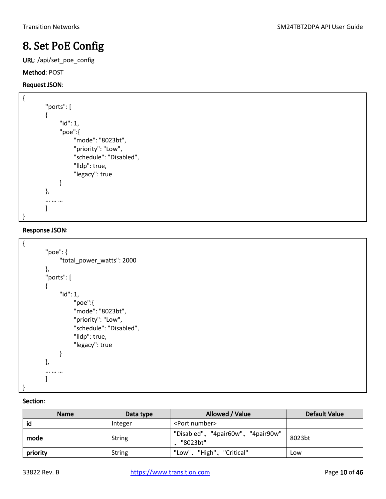### <span id="page-9-0"></span>8. Set PoE Config

URL: /api/set\_poe\_config

#### Method: POST

#### Request JSON:

```
{
         "ports": [
         {
                "id": 1,
                "poe":{
                     "mode": "8023bt",
                     "priority": "Low",
                     "schedule": "Disabled",
                     "lldp": true,
                     "legacy": true
                }
         },
         … … …
         \mathbf{I}}
```
#### Response JSON:

```
{
         "poe": {
               "total_power_watts": 2000
         },
         "ports": [
         {
               "id": 1,
                     "poe":{
                     "mode": "8023bt",
                     "priority": "Low",
                     "schedule": "Disabled",
                     "lldp": true,
                     "legacy": true
               }
         },
         … … …
         \mathbf{I}}
```

| <b>Name</b> | Data type     | Allowed / Value                              | Default Value |
|-------------|---------------|----------------------------------------------|---------------|
| id          | Integer       | <port number=""></port>                      |               |
| mode        | String        | "Disabled"、"4pair60w"、"4pair90w"<br>"8023bt" | 8023bt        |
| priority    | <b>String</b> | "Low"、"High"、"Critical"                      | Low           |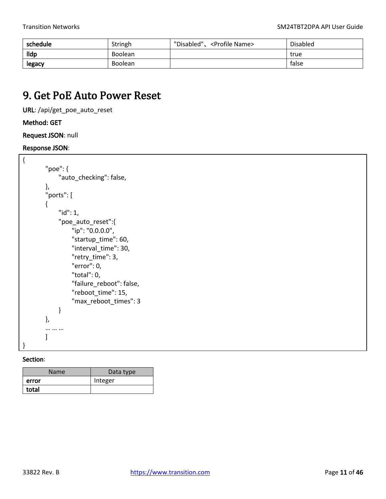| schedule    | Stringh        | "Disabled".<br><profile name=""></profile> | Disabled |
|-------------|----------------|--------------------------------------------|----------|
| <b>Ildp</b> | <b>Boolean</b> |                                            | true     |
| legacy      | <b>Boolean</b> |                                            | false    |

### <span id="page-10-0"></span>9. Get PoE Auto Power Reset

URL: /api/get\_poe\_auto\_reset

#### Method: GET

Request JSON: null

#### Response JSON:

```
{ 
         "poe": { 
               "auto_checking": false, 
         }, 
         "ports": [ 
         { 
               "id": 1, 
               "poe_auto_reset":{ 
                    "ip": "0.0.0.0", 
                    "startup_time": 60, 
                    "interval_time": 30, 
                    "retry_time": 3, 
                    "error": 0, 
                    "total": 0, 
                    "failure_reboot": false, 
                    "reboot_time": 15, 
                    "max_reboot_times": 3 
               } 
         }, 
         … … … 
         \mathbf{I}}
```

| <b>Name</b> | Data type |
|-------------|-----------|
| error       | Integer   |
| total       |           |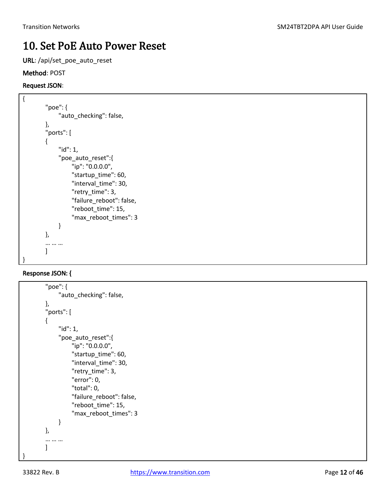### <span id="page-11-0"></span>10. Set PoE Auto Power Reset

URL: /api/set\_poe\_auto\_reset

#### Method: POST

#### Request JSON:

```
{ 
         "poe": { 
                "auto_checking": false, 
         }, 
         "ports": [ 
         { 
                "id": 1, 
                "poe_auto_reset":{ 
                     "ip": "0.0.0.0", 
                     "startup_time": 60, 
                     "interval_time": 30, 
                     "retry_time": 3, 
                     "failure_reboot": false, 
                    "reboot_time": 15,
                     "max_reboot_times": 3 
                } 
         }, 
         … … … 
         \mathbf{I}}
```

```
"poe": { 
               "auto_checking": false, 
        }, 
         "ports": [ 
         { 
               "id": 1, 
               "poe_auto_reset":{ 
                    "ip": "0.0.0.0", 
                    "startup_time": 60, 
                    "interval_time": 30, 
                    "retry_time": 3, 
                    "error": 0, 
                    "total": 0, 
                    "failure_reboot": false, 
                    "reboot_time": 15, 
                    "max_reboot_times": 3 
               } 
        }, 
         … … … 
        ] 
}
```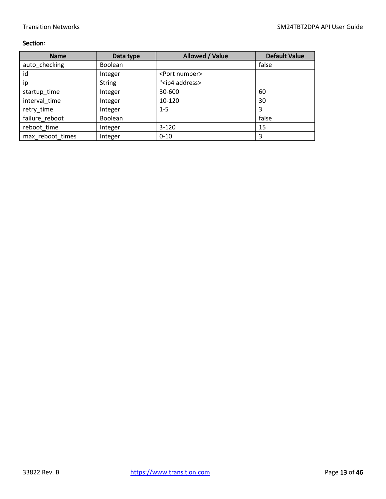| <b>Name</b>      | Data type     | Allowed / Value          | <b>Default Value</b> |
|------------------|---------------|--------------------------|----------------------|
| auto checking    | Boolean       |                          | false                |
| id               | Integer       | <port number=""></port>  |                      |
| ip               | <b>String</b> | " <ip4 address=""></ip4> |                      |
| startup_time     | Integer       | 30-600                   | 60                   |
| interval time    | Integer       | 10-120                   | 30                   |
| retry_time       | Integer       | $1 - 5$                  | 3                    |
| failure reboot   | Boolean       |                          | false                |
| reboot time      | Integer       | $3 - 120$                | 15                   |
| max reboot times | Integer       | $0 - 10$                 | 3                    |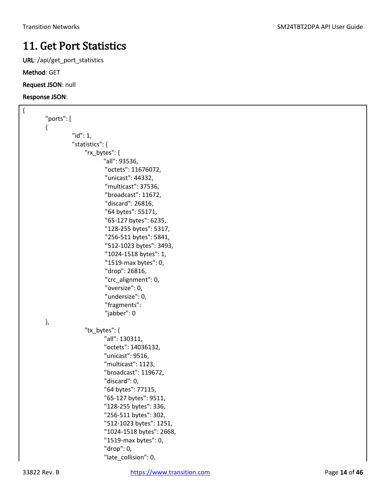### <span id="page-13-0"></span>11. Get Port Statistics

URL: /api/get\_port\_statistics

Method: GET

Request JSON: null

| $\{$ |                                             |
|------|---------------------------------------------|
|      | "ports": [                                  |
|      | {                                           |
|      | " $id$ ": 1,                                |
|      | "statistics": {                             |
|      | "rx_bytes": {                               |
|      | "all": 93536,                               |
|      | "octets": 11676072,                         |
|      | "unicast": 44332,                           |
|      | "multicast": 37536,                         |
|      | "broadcast": 11672,                         |
|      | "discard": 26816,                           |
|      | "64 bytes": 55171,                          |
|      | "65-127 bytes": 6235,                       |
|      | "128-255 bytes": 5317,                      |
|      | "256-511 bytes": 5841,                      |
|      | "512-1023 bytes": 3493,                     |
|      | "1024-1518 bytes": 1,                       |
|      | "1519-max bytes": 0,                        |
|      | "drop": 26816,                              |
|      | "crc_alignment": 0,                         |
|      | "oversize": 0,                              |
|      | "undersize": 0,                             |
|      | "fragments":                                |
|      | "jabber": 0                                 |
|      | },                                          |
|      | "tx_bytes": {                               |
|      | "all": 130311,                              |
|      | "octets": 14036132,                         |
|      | "unicast": 9516,                            |
|      | "multicast": 1123,                          |
|      | "broadcast": 119672,                        |
|      | "discard": 0,                               |
|      | "64 bytes": 77115,<br>"65-127 bytes": 9511, |
|      | "128-255 bytes": 336,                       |
|      | "256-511 bytes": 302,                       |
|      | "512-1023 bytes": 1251,                     |
|      | "1024-1518 bytes": 2668,                    |
|      | "1519-max bytes": 0,                        |
|      | "drop": 0,                                  |
|      | "late_collision": 0,                        |
|      |                                             |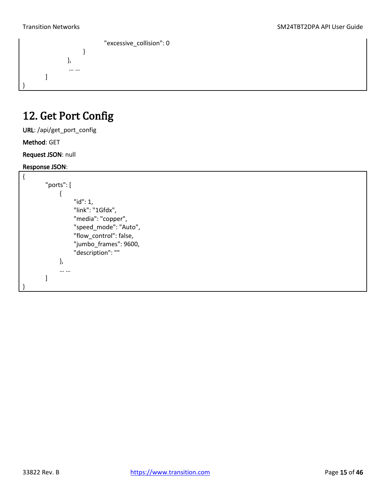

### <span id="page-14-0"></span>12. Get Port Config

URL: /api/get\_port\_config

#### Method: GET

Request JSON: null

```
{
        "ports": [
              {
                    "id": 1,
                    "link": "1Gfdx",
                    "media": "copper",
                    "speed_mode": "Auto",
                    "flow_control": false,
                    "jumbo_frames": 9600,
                    "description": ""
              },
              … …
        ]
}
```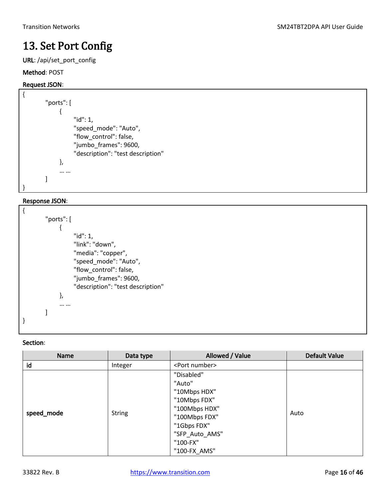### <span id="page-15-0"></span>13. Set Port Config

URL: /api/set\_port\_config

#### Method: POST

#### Request JSON:

```
{
        "ports": [
              {
                    "id": 1,
                    "speed_mode": "Auto",
                    "flow_control": false,
                    "jumbo_frames": 9600,
                    "description": "test description"
              },
              … …
        ]
}
```
#### Response JSON:

| "ports": [ |                                   |
|------------|-----------------------------------|
|            |                                   |
|            | "id": 1,                          |
|            | "link": "down",                   |
|            | "media": "copper",                |
|            | "speed_mode": "Auto",             |
|            | "flow_control": false,            |
|            | "jumbo frames": 9600,             |
|            | "description": "test description" |
| },         |                                   |
|            |                                   |
|            |                                   |
|            |                                   |
|            |                                   |

| Name       | Data type     | Allowed / Value                                                                                                                                     | <b>Default Value</b> |
|------------|---------------|-----------------------------------------------------------------------------------------------------------------------------------------------------|----------------------|
| id         | Integer       | <port number=""></port>                                                                                                                             |                      |
| speed_mode | <b>String</b> | "Disabled"<br>"Auto"<br>"10Mbps HDX"<br>"10Mbps FDX"<br>"100Mbps HDX"<br>"100Mbps FDX"<br>"1Gbps FDX"<br>"SFP_Auto_AMS"<br>"100-FX"<br>"100-FX AMS" | Auto                 |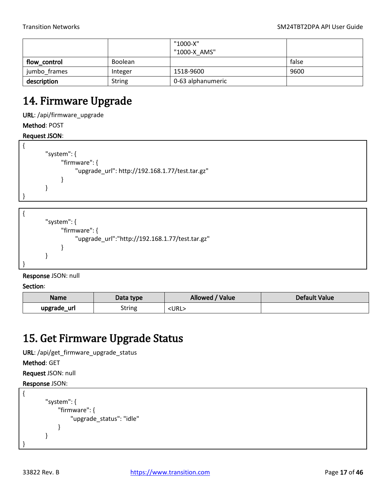|              |                | "1000-X"<br>"1000-X AMS" |       |
|--------------|----------------|--------------------------|-------|
| flow_control | <b>Boolean</b> |                          | false |
| jumbo frames | Integer        | 1518-9600                | 9600  |
| description  | <b>String</b>  | 0-63 alphanumeric        |       |

### <span id="page-16-0"></span>14. Firmware Upgrade

URL: /api/firmware\_upgrade

Method: POST

#### Request JSON:

```
{
        "system": {
               "firmware": {
                    "upgrade_url": http://192.168.1.77/test.tar.gz"
               }
        }
```
}

```
{
        "system": {
               "firmware": {
                    "upgrade_url":"http://192.168.1.77/test.tar.gz"
               }
        }
}
```
Response JSON: null

Section:

| <b>Name</b>    | Data type | Allowed /<br>Value | Default Value |
|----------------|-----------|--------------------|---------------|
| upgrade<br>url | String    | <url></url>        |               |

### <span id="page-16-1"></span>15. Get Firmware Upgrade Status

URL: /api/get\_firmware\_upgrade\_status

Method: GET

Request JSON: null

```
{
         "system": {
              "firmware": {
                   "upgrade_status": "idle"
              }
        }
}
```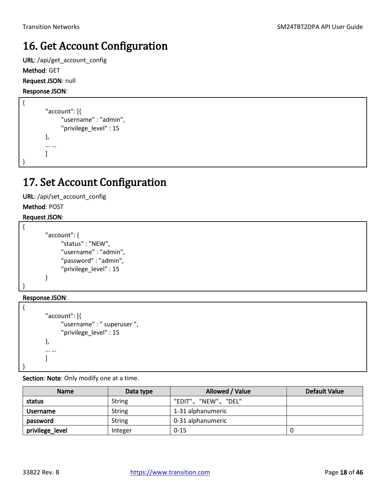### <span id="page-17-0"></span>16. Get Account Configuration

URL: /api/get\_account\_config Method: GET Request JSON: null

Response JSON:

```
{
         "account": [{
                 "username" : "admin",
                 "privilege_level" : 15
         },
         … …
         \mathbf{I}}
```
### <span id="page-17-1"></span>17. Set Account Configuration

URL: /api/set\_account\_config

Method: POST

#### Request JSON:

```
{
        "account": {
               "status" : "NEW",
               "username" : "admin",
               "password" : "admin",
               "privilege_level" : 15
        }
}
```
Response JSON:

{

}

```
"account": [{
       "username" : " superuser ",
       "privilege_level" : 15
},
… …
]
```
Section: Note: Only modify one at a time.

| <b>Name</b>     | Data type     | Allowed / Value    | <b>Default Value</b> |
|-----------------|---------------|--------------------|----------------------|
| status          | <b>String</b> | "EDIT"、"NEW"、"DEL" |                      |
| <b>Username</b> | <b>String</b> | 1-31 alphanumeric  |                      |
| password        | <b>String</b> | 0-31 alphanumeric  |                      |
| privilege_level | Integer       | $0 - 15$           |                      |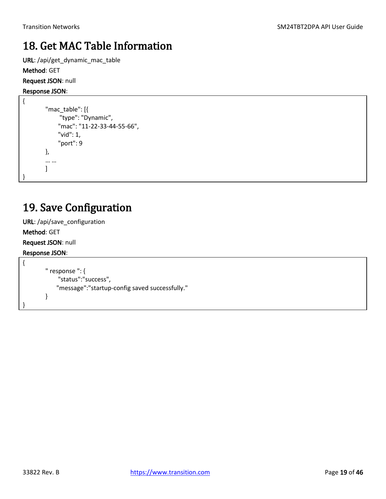### <span id="page-18-0"></span>18. Get MAC Table Information

URL: /api/get\_dynamic\_mac\_table Method: GET

Request JSON: null

#### Response JSON:

```
{
         "mac_table": [{
               "type": "Dynamic",
               "mac": "11-22-33-44-55-66",
               "vid": 1,
               "port": 9
         },
         … …
         \mathbf{I}}
```
### <span id="page-18-1"></span>19. Save Configuration

URL: /api/save\_configuration

Method: GET

Request JSON: null

```
{
        " response ": {
              "status":"success",
             "message":"startup-config saved successfully."
        }
}
```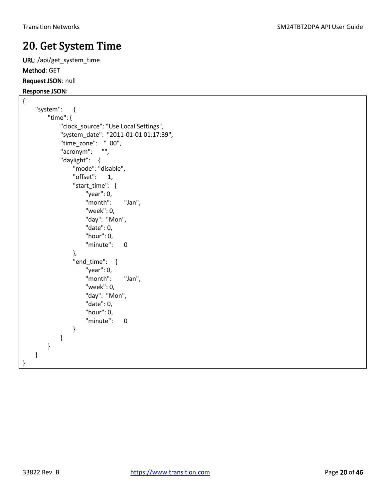### <span id="page-19-0"></span>20. Get System Time

URL: /api/get\_system\_time Method: GET Request JSON: null

#### Response JSON:

```
{
     "system": {
         "time": {
             "clock_source": "Use Local Settings",
             "system_date": "2011-01-01 01:17:39",
             "time_zone": " 00",
             "acronym": "",
             "daylight": {
                 "mode": "disable",
                 "offset": 1,
                "start_time": {
                     "year": 0,
                     "month": "Jan",
                     "week": 0,
                     "day": "Mon",
                     "date": 0,
                     "hour": 0,
                     "minute": 0
 },
                 "end_time": {
                     "year": 0,
                     "month": "Jan",
                     "week": 0,
                     "day": "Mon",
                     "date": 0,
                     "hour": 0,
                     "minute": 0
 }
            }
        }
     }
```
}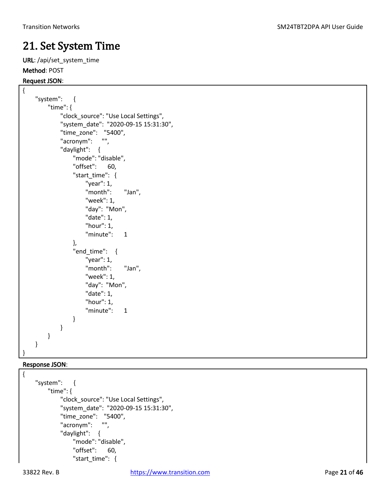### <span id="page-20-0"></span>21. Set System Time

URL: /api/set\_system\_time Method: POST

### Request JSON:

```
{
     "system": {
         "time": {
             "clock_source": "Use Local Settings",
             "system_date": "2020-09-15 15:31:30",
             "time_zone": "5400",
             "acronym": "",
             "daylight": {
                 "mode": "disable",
                 "offset": 60,
                "start_time": {
                     "year": 1,
                     "month": "Jan",
                     "week": 1,
                     "day": "Mon",
                     "date": 1,
                     "hour": 1,
                     "minute": 1
 },
                 "end_time": {
                     "year": 1,
                     "month": "Jan",
                     "week": 1,
                     "day": "Mon",
                     "date": 1,
                     "hour": 1,
                     "minute": 1
 }
             }
         }
     }
}
```

```
{
     "system": {
         "time": {
              "clock_source": "Use Local Settings",
              "system_date": "2020-09-15 15:31:30",
              "time_zone": "5400",
              "acronym": "",
              "daylight": {
                  "mode": "disable",
                  "offset": 60,
                  "start_time": {
```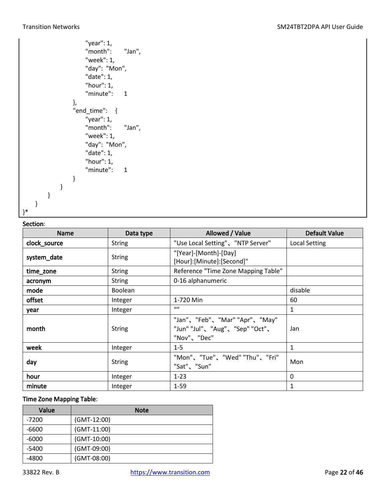```
 "year": 1,
                     "month": "Jan",
                     "week": 1,
                     "day": "Mon",
                     "date": 1,
                     "hour": 1,
                     "minute": 1
                 },
                 "end_time": {
                     "year": 1,
                     "month": "Jan",
                     "week": 1,
                     "day": "Mon",
                     "date": 1,
                     "hour": 1,
                     "minute": 1
 }
             }
        }
     }
}*
```
#### Section:

| JCLIUII.<br><b>Name</b> | Data type      | Allowed / Value                                                                | <b>Default Value</b> |
|-------------------------|----------------|--------------------------------------------------------------------------------|----------------------|
| clock_source            | <b>String</b>  | "Use Local Setting"、"NTP Server"                                               | <b>Local Setting</b> |
| system_date             | <b>String</b>  | "[Year]-[Month]-[Day]<br>[Hour]:[Minute]:[Second]"                             |                      |
| time_zone               | <b>String</b>  | Reference "Time Zone Mapping Table"                                            |                      |
| acronym                 | <b>String</b>  | 0-16 alphanumeric                                                              |                      |
| mode                    | <b>Boolean</b> |                                                                                | disable              |
| offset                  | Integer        | 1-720 Min                                                                      | 60                   |
| year                    | Integer        | (1)                                                                            | 1                    |
| month                   | <b>String</b>  | "Jan"、"Feb"、"Mar" "Apr"、"May"<br>"Jun" "Jul"、"Aug"、"Sep" "Oct"、<br>"Nov"、"Dec" | Jan                  |
| week                    | Integer        | $1 - 5$                                                                        | $\mathbf{1}$         |
| day                     | <b>String</b>  | "Mon"、"Tue"、"Wed" "Thu"、"Fri"<br>"Sat"、"Sun"                                   | Mon                  |
| hour                    | Integer        | $1 - 23$                                                                       | 0                    |
| minute                  | Integer        | $1 - 59$                                                                       | 1                    |

#### Time Zone Mapping Table:

| Value   | <b>Note</b>   |  |  |
|---------|---------------|--|--|
| -7200   | (GMT-12:00)   |  |  |
| -6600   | $(GMT-11:00)$ |  |  |
| -6000   | $(GMT-10:00)$ |  |  |
| $-5400$ | (GMT-09:00)   |  |  |
| -4800   | (GMT-08:00)   |  |  |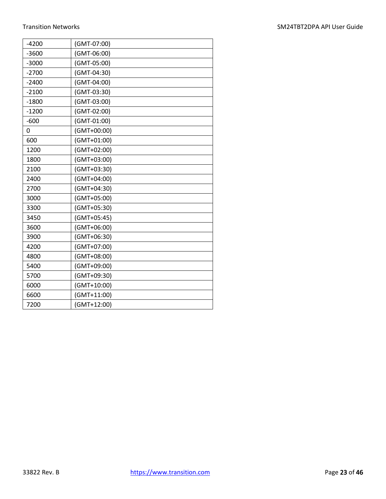| $-4200$ | (GMT-07:00)   |
|---------|---------------|
| $-3600$ | (GMT-06:00)   |
| $-3000$ | (GMT-05:00)   |
| $-2700$ | (GMT-04:30)   |
| $-2400$ | (GMT-04:00)   |
| $-2100$ | (GMT-03:30)   |
| $-1800$ | (GMT-03:00)   |
| $-1200$ | (GMT-02:00)   |
| $-600$  | (GMT-01:00)   |
| 0       | (GMT+00:00)   |
| 600     | (GMT+01:00)   |
| 1200    | (GMT+02:00)   |
| 1800    | (GMT+03:00)   |
| 2100    | (GMT+03:30)   |
| 2400    | (GMT+04:00)   |
| 2700    | (GMT+04:30)   |
| 3000    | (GMT+05:00)   |
| 3300    | (GMT+05:30)   |
| 3450    | (GMT+05:45)   |
| 3600    | (GMT+06:00)   |
| 3900    | (GMT+06:30)   |
| 4200    | (GMT+07:00)   |
| 4800    | (GMT+08:00)   |
| 5400    | (GMT+09:00)   |
| 5700    | (GMT+09:30)   |
| 6000    | (GMT+10:00)   |
| 6600    | $(GMT+11:00)$ |
| 7200    | (GMT+12:00)   |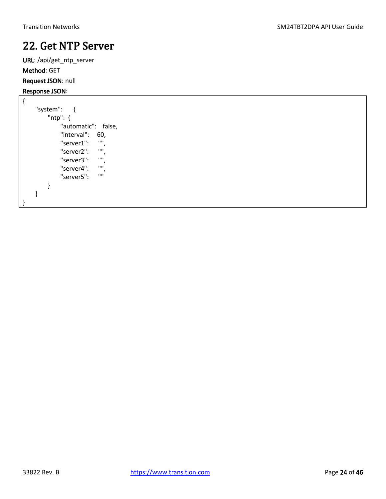### <span id="page-23-0"></span>22. Get NTP Server

URL: /api/get\_ntp\_server Method: GET Request JSON: null

```
{
      "system": {
           "ntp": {
                "automatic": false,
               "interval": 60,<br>"server1": "",
               "server1":
                "server2": "",
                "server3": "",
               "server4": \frac{m}{m},
               "server5":
           }
      }
}
```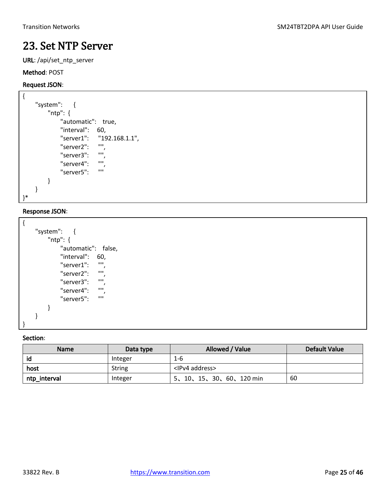### <span id="page-24-0"></span>23. Set NTP Server

URL: /api/set\_ntp\_server

#### Method: POST

#### Request JSON:

```
{
     "system": {
         "ntp": {
             "automatic": true,
             "interval": 60,
             "server1": "192.168.1.1",
             "server2": "",
             "server3": "",
            "server4":
             "server5": ""
         }
     }
}*
```
#### Response JSON:

| "system":               |
|-------------------------|
| "ntp": {                |
| "automatic": false,     |
| "interval":<br>60,      |
| ,,,,<br>"server1":      |
| <b>HH</b><br>"server2": |
| '''<br>"server3":       |
| '''<br>"server4":       |
| ,,,,<br>"server5":      |
|                         |
|                         |
|                         |

| <b>Name</b>  | Data type     | Allowed / Value            | <b>Default Value</b> |
|--------------|---------------|----------------------------|----------------------|
| id           | Integer       | $1 - 6$                    |                      |
| host         | <b>String</b> | <ipv4 address=""></ipv4>   |                      |
| ntp_interval | Integer       | 5, 10, 15, 30, 60, 120 min | 60                   |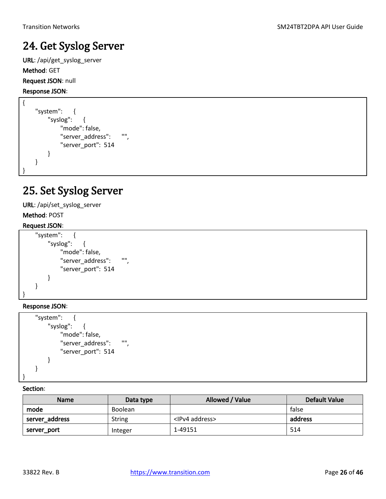### <span id="page-25-0"></span>24. Get Syslog Server

URL: /api/get\_syslog\_server Method: GET Request JSON: null

Response JSON:

```
{
     "system": {
         "syslog": {
              "mode": false,
              "server_address": "",
              "server_port": 514
         }
     }
}
```
### <span id="page-25-1"></span>25. Set Syslog Server

URL: /api/set\_syslog\_server

Method: POST

#### Request JSON:

```
 "system": {
         "syslog": {
              "mode": false,
             "server_address": "",
              "server_port": 514
         }
     }
}
```
Response JSON:

```
 "system": {
         "syslog": {
             "mode": false,
             "server_address": "",
              "server_port": 514
         }
     }
}
```

| <b>Name</b>    | Data type      | Allowed / Value          | Default Value |
|----------------|----------------|--------------------------|---------------|
| mode           | <b>Boolean</b> |                          | false         |
| server_address | <b>String</b>  | <ipv4 address=""></ipv4> | address       |
| server_port    | Integer        | 1-49151                  | 514           |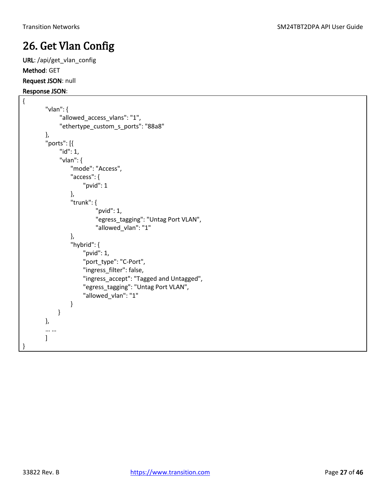### <span id="page-26-0"></span>26. Get Vlan Config

URL: /api/get\_vlan\_config Method: GET Request JSON: null

```
{
        "vlan": {
               "allowed_access_vlans": "1",
               "ethertype_custom_s_ports": "88a8"
        },
        "ports": [{
               "id": 1,
               "vlan": {
                   "mode": "Access",
                   "access": {
                        "pvid": 1
                   },
                   "trunk": {
                             "pvid": 1,
                             "egress_tagging": "Untag Port VLAN",
                             "allowed_vlan": "1"
                   },
                   "hybrid": {
                        "pvid": 1,
                        "port_type": "C-Port",
                        "ingress_filter": false,
                        "ingress_accept": "Tagged and Untagged",
                        "egress_tagging": "Untag Port VLAN",
                        "allowed_vlan": "1"
                   }
              }
        },
        … …
        \mathbf{I}}
```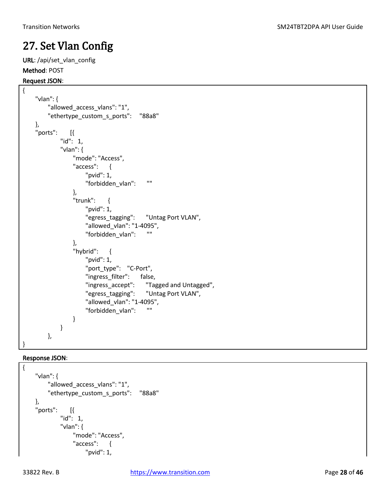### <span id="page-27-0"></span>27. Set Vlan Config

URL: /api/set\_vlan\_config Method: POST

#### Request JSON:

```
{
     "vlan": {
         "allowed_access_vlans": "1",
         "ethertype_custom_s_ports": "88a8"
     },
     "ports": [{
             "id": 1,
             "vlan": {
                "mode": "Access",
                "access": {
                    "pvid": 1,
                    "forbidden_vlan": ""
 },
                 "trunk": {
                    "pvid": 1,
                    "egress_tagging": "Untag Port VLAN",
                    "allowed_vlan": "1-4095",
                    "forbidden_vlan": ""
 },
                "hybrid": {
                    "pvid": 1,
                    "port_type": "C-Port",
                    "ingress_filter": false,
                    "ingress_accept": "Tagged and Untagged",
                    "egress_tagging": "Untag Port VLAN",
                    "allowed_vlan": "1-4095",
                    "forbidden_vlan": ""
 }
 }
         },
}
```

```
{
     "vlan": {
          "allowed_access_vlans": "1",
          "ethertype_custom_s_ports": "88a8"
     },
     "ports": [{
              "id": 1,
              "vlan": {
                  "mode": "Access",
                  "access": {
                       "pvid": 1,
```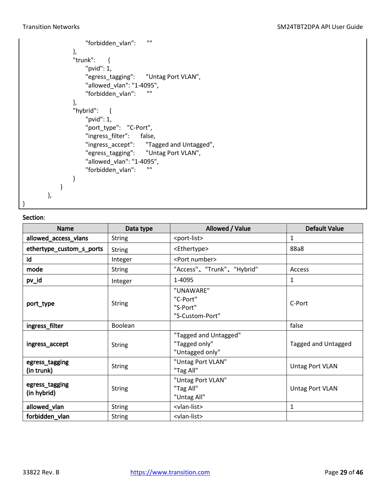#### Transition Networks **SM24TBT2DPA API User Guide** SM24TBT2DPA API User Guide

```
 "forbidden_vlan": ""
                },
                "trunk": {
                    "pvid": 1,
                    "egress_tagging": "Untag Port VLAN",
                    "allowed_vlan": "1-4095",
                    "forbidden_vlan": ""
 },
                "hybrid": {
                    "pvid": 1,
                    "port_type": "C-Port",
                    "ingress_filter": false,
                    "ingress_accept": "Tagged and Untagged",
                    "egress_tagging": "Untag Port VLAN",
                    "allowed_vlan": "1-4095",
                    "forbidden_vlan": ""
 }
            }
        },
}
```

| <b>Name</b>                   | Data type      | Allowed / Value                                           | <b>Default Value</b>   |  |
|-------------------------------|----------------|-----------------------------------------------------------|------------------------|--|
| allowed_access_vlans          | <b>String</b>  | <port-list></port-list>                                   | $\mathbf{1}$           |  |
| ethertype_custom_s_ports      | <b>String</b>  | <ethertype></ethertype>                                   | 88a8                   |  |
| id                            | Integer        | <port number=""></port>                                   |                        |  |
| mode                          | <b>String</b>  | "Access"、"Trunk"、"Hybrid"                                 | Access                 |  |
| pv_id                         | Integer        | 1-4095                                                    | $\mathbf{1}$           |  |
| port_type                     | <b>String</b>  | "UNAWARE"<br>"C-Port"<br>"S-Port"<br>"S-Custom-Port"      | C-Port                 |  |
| ingress_filter                | <b>Boolean</b> |                                                           | false                  |  |
| ingress_accept                | <b>String</b>  | "Tagged and Untagged"<br>"Tagged only"<br>"Untagged only" | Tagged and Untagged    |  |
| egress_tagging<br>(in trunk)  | <b>String</b>  | "Untag Port VLAN"<br>"Tag All"                            | <b>Untag Port VLAN</b> |  |
| egress_tagging<br>(in hybrid) | <b>String</b>  | "Untag Port VLAN"<br>"Tag All"<br>"Untag All"             | <b>Untag Port VLAN</b> |  |
| allowed_vlan                  | <b>String</b>  | <vlan-list></vlan-list>                                   | 1                      |  |
| forbidden_vlan                | <b>String</b>  | <vlan-list></vlan-list>                                   |                        |  |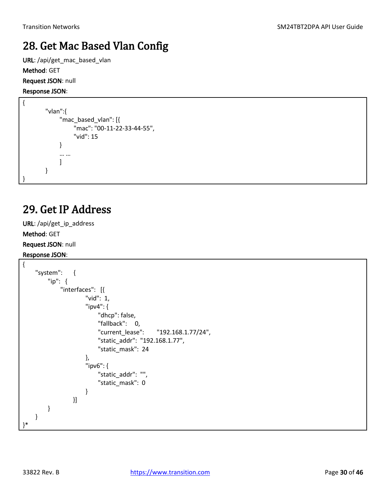### <span id="page-29-0"></span>28. Get Mac Based Vlan Config

URL: /api/get\_mac\_based\_vlan Method: GET Request JSON: null

#### Response JSON:

```
{
        "vlan":{
               "mac_based_vlan": [{
                    "mac": "00-11-22-33-44-55",
                    "vid": 15
              }
              … …
              ]
        }
}
```
### <span id="page-29-1"></span>29. Get IP Address

URL: /api/get\_ip\_address Method: GET Request JSON: null Response JSON:

```
{
     "system": {
        "ip": {
             "interfaces": [{
                    "vid": 1,
                    "ipv4": {
                        "dhcp": false,
                        "fallback": 0,
                       "current_lease": "192.168.1.77/24",
                       "static_addr": "192.168.1.77",
                       "static_mask": 24
 },
                    "ipv6": {
                        "static_addr": "",
                         "static_mask": 0
 }
                }]
        }
    }
}*
```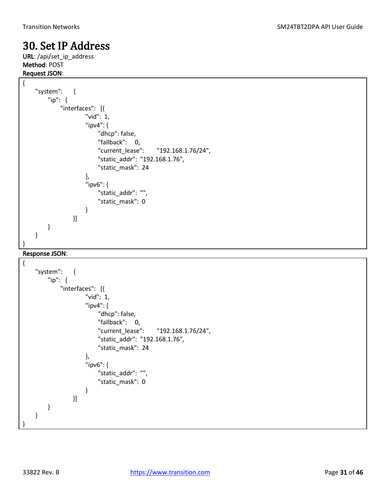### <span id="page-30-0"></span>30. Set IP Address

URL: /api/set\_ip\_address Method: POST Request JSON:

```
{
     "system": {
        "ip": {
            "interfaces": [{
                    "vid": 1,
                    "ipv4": {
                        "dhcp": false,
                       "fallback": 0,
                       "current_lease": "192.168.1.76/24",
                       "static_addr": "192.168.1.76",
                        "static_mask": 24
 },
                    "ipv6": {
                        "static_addr": "",
                        "static_mask": 0
 }
                }]
        }
    }
}
```

```
{
     "system": {
         "ip": {
             "interfaces": [{
                    "vid": 1,
                    "ipv4": {
                        "dhcp": false,
                       "fallback": 0,
                       "current_lease": "192.168.1.76/24",
                       "static_addr": "192.168.1.76",
                       "static_mask": 24
 },
                    "ipv6": {
                        "static_addr": "",
                       "static_mask": 0
 }
                }]
        }
     }
}
```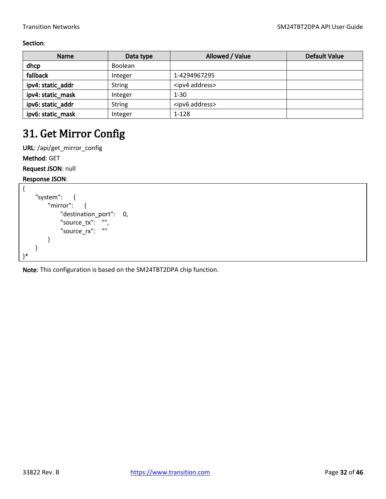#### Section:

| <b>Name</b>       | Data type     | Allowed / Value          | <b>Default Value</b> |
|-------------------|---------------|--------------------------|----------------------|
| dhcp              | Boolean       |                          |                      |
| fallback          | Integer       | 1-4294967295             |                      |
| ipv4: static_addr | <b>String</b> | <ipv4 address=""></ipv4> |                      |
| ipv4: static_mask | Integer       | $1 - 30$                 |                      |
| ipv6: static_addr | <b>String</b> | <ipv6 address=""></ipv6> |                      |
| ipv6: static_mask | Integer       | $1 - 128$                |                      |

### <span id="page-31-0"></span>31. Get Mirror Config

URL: /api/get\_mirror\_config Method: GET Request JSON: null

Response JSON:

```
{
     "system": {
         "mirror": {
             "destination_port": 0,
              "source_tx": "",
             "source_rx": ""
         }
     }
}*
```
Note: This configuration is based on the SM24TBT2DPA chip function.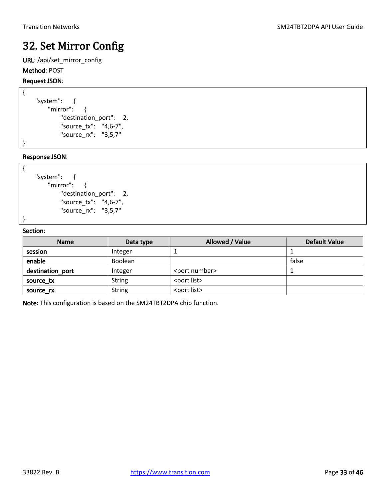## <span id="page-32-0"></span>32. Set Mirror Config

URL: /api/set\_mirror\_config Method: POST

### Request JSON:

```
{
     "system": {
         "mirror": {
             "destination_port": 2,
             "source_tx": "4,6-7",
             "source_rx": "3,5,7"
```
Response JSON:

}

{

}

```
 "system": {
     "mirror": {
         "destination_port": 2,
         "source_tx": "4,6-7",
         "source_rx": "3,5,7"
```
#### Section:

| <b>Name</b>      | Data type     | Allowed / Value         | <b>Default Value</b> |
|------------------|---------------|-------------------------|----------------------|
| session          | Integer       |                         |                      |
| enable           | Boolean       |                         | false                |
| destination_port | Integer       | <port number=""></port> |                      |
| source tx        | <b>String</b> | <port list=""></port>   |                      |
| source rx        | <b>String</b> | <port list=""></port>   |                      |

Note: This configuration is based on the SM24TBT2DPA chip function.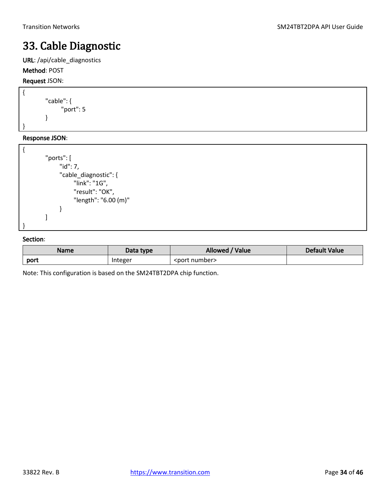### <span id="page-33-0"></span>33. Cable Diagnostic

URL: /api/cable\_diagnostics

### Method: POST

Request JSON:

```
{
         "cable": {
                 "port": 5
         }
}
```
#### Response JSON:

```
{
         "ports": [
               "id": 7,
               "cable_diagnostic": {
                     "link": "1G",
                     "result": "OK",
                     "length": "6.00 (m)"
               }
         ]
}
```
#### Section:

| Name | Data type | Allowed /<br>/ Value    | Default Value |
|------|-----------|-------------------------|---------------|
| port | Integer   | <port number=""></port> |               |

Note: This configuration is based on the SM24TBT2DPA chip function.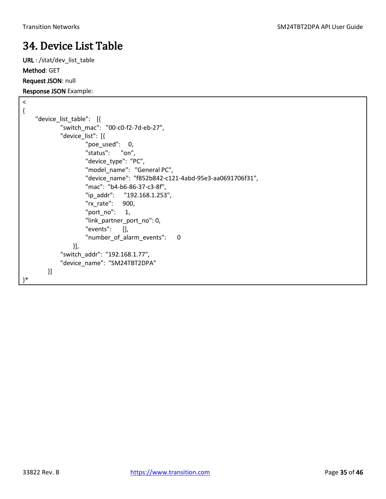### <span id="page-34-0"></span>34. Device List Table

URL : /stat/dev\_list\_table Method: GET Request JSON: null

Response JSON Example:

 $\overline{<}$ 

```
{
     "device_list_table": [{
             "switch_mac": "00-c0-f2-7d-eb-27",
              "device_list": [{
                     "poe used": 0,
                      "status": "on",
                      "device_type": "PC",
                      "model_name": "General PC",
                      "device_name": "f852b842-c121-4abd-95e3-aa0691706f31",
                      "mac": "b4-b6-86-37-c3-8f",
                      "ip_addr": "192.168.1.253",
                      "rx_rate": 900,
                     "port_no": 1,
                      "link_partner_port_no": 0,
                      "events": [],
                     "number of alarm events": 0
                 }],
              "switch_addr": "192.168.1.77",
              "device_name": "SM24TBT2DPA"
         }]
}*
```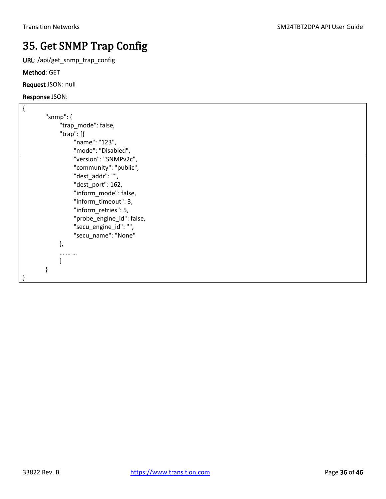## <span id="page-35-0"></span>35. Get SNMP Trap Config

URL: /api/get\_snmp\_trap\_config

Method: GET

Request JSON: null

#### Response JSON:

{

| "snmp": {                 |
|---------------------------|
| "trap_mode": false,       |
| "trap": [{                |
| "name": "123",            |
| "mode": "Disabled",       |
| "version": "SNMPv2c",     |
| "community": "public",    |
| "dest addr": "",          |
| "dest port": 162,         |
| "inform mode": false,     |
| "inform_timeout": 3,      |
| "inform retries": 5,      |
| "probe engine id": false, |
| "secu_engine_id": "",     |
| "secu name": "None"       |
| },                        |
|                           |
| 1                         |
| }                         |
|                           |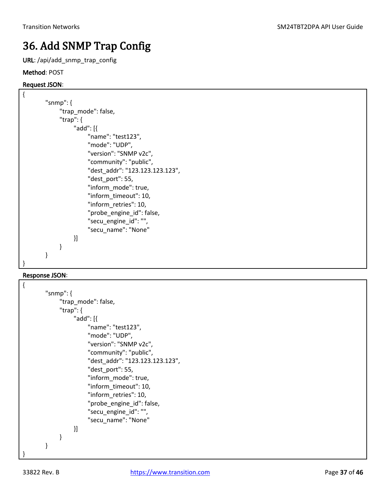## <span id="page-36-0"></span>36. Add SNMP Trap Config

URL: /api/add\_snmp\_trap\_config

#### Method: POST

#### Request JSON:

```
{
        "snmp": {
              "trap_mode": false,
              "trap": {
                   "add": [{
                         "name": "test123",
                         "mode": "UDP",
                         "version": "SNMP v2c",
                         "community": "public",
                         "dest_addr": "123.123.123.123",
                         "dest_port": 55,
                         "inform_mode": true,
                         "inform_timeout": 10,
                         "inform_retries": 10,
                         "probe_engine_id": false,
                         "secu_engine_id": "",
                         "secu_name": "None"
                   }]
              }
        }
}
```

```
{
        "snmp": {
              "trap_mode": false,
              "trap": {
                   "add": [{
                        "name": "test123",
                         "mode": "UDP",
                        "version": "SNMP v2c",
                         "community": "public",
                         "dest_addr": "123.123.123.123",
                         "dest_port": 55,
                         "inform_mode": true,
                         "inform_timeout": 10,
                         "inform_retries": 10,
                        "probe engine id": false,
                        "secu_engine_id": "",
                         "secu_name": "None"
                   }]
              }
        }
}
```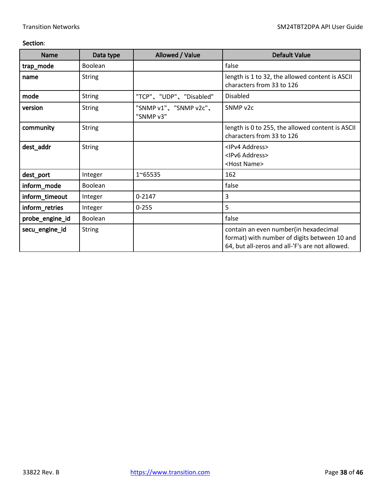| <b>Name</b>     | Data type      | Allowed / Value                    | <b>Default Value</b>                                                                                                                     |
|-----------------|----------------|------------------------------------|------------------------------------------------------------------------------------------------------------------------------------------|
| trap_mode       | <b>Boolean</b> |                                    | false                                                                                                                                    |
| name            | <b>String</b>  |                                    | length is 1 to 32, the allowed content is ASCII<br>characters from 33 to 126                                                             |
| mode            | <b>String</b>  | "TCP"、"UDP"、"Disabled"             | <b>Disabled</b>                                                                                                                          |
| version         | <b>String</b>  | "SNMP v1"、"SNMP v2c"、<br>"SNMP v3" | SNMP v2c                                                                                                                                 |
| community       | <b>String</b>  |                                    | length is 0 to 255, the allowed content is ASCII<br>characters from 33 to 126                                                            |
| dest_addr       | <b>String</b>  |                                    | <ipv4 address=""><br/><ipv6 address=""><br/><host name=""></host></ipv6></ipv4>                                                          |
| dest_port       | Integer        | 1~65535                            | 162                                                                                                                                      |
| inform_mode     | Boolean        |                                    | false                                                                                                                                    |
| inform_timeout  | Integer        | $0 - 2147$                         | 3                                                                                                                                        |
| inform_retries  | Integer        | $0 - 255$                          | 5                                                                                                                                        |
| probe_engine_id | Boolean        |                                    | false                                                                                                                                    |
| secu_engine_id  | <b>String</b>  |                                    | contain an even number(in hexadecimal<br>format) with number of digits between 10 and<br>64, but all-zeros and all-'F's are not allowed. |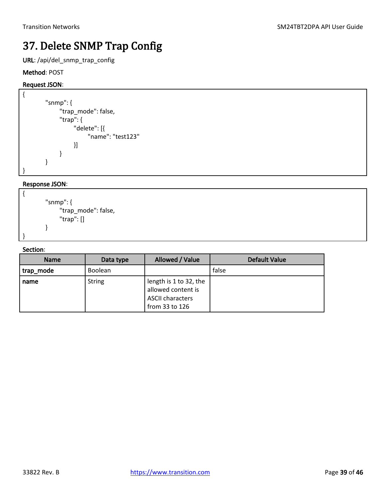### <span id="page-38-0"></span>37. Delete SNMP Trap Config

URL: /api/del\_snmp\_trap\_config

#### Method: POST

#### Request JSON:

```
{
         "snmp": {
               "trap_mode": false,
               "trap": {
                    "delete": [{
                          "name": "test123"
                    }]
               }
        }
}
```
#### Response JSON:

```
{
        "snmp": {
               "trap_mode": false,
               "trap": []
        }
```
#### Section:

}

| <b>Name</b> | Data type      | Allowed / Value                                                                           | Default Value |
|-------------|----------------|-------------------------------------------------------------------------------------------|---------------|
| trap_mode   | <b>Boolean</b> |                                                                                           | false         |
| name        | <b>String</b>  | length is 1 to 32, the<br>allowed content is<br><b>ASCII characters</b><br>from 33 to 126 |               |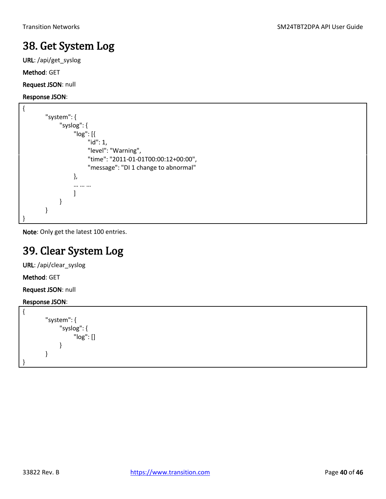### <span id="page-39-0"></span>38. Get System Log

URL: /api/get\_syslog

Method: GET

Request JSON: null

#### Response JSON:

```
{
        "system": {
              "syslog": {
                   "log": [{
                        "id": 1,
                        "level": "Warning",
                        "time": "2011-01-01T00:00:12+00:00",
                        "message": "DI 1 change to abnormal"
                   },
                   … … …
         ]
              }
        }
}
```
<span id="page-39-1"></span>Note: Only get the latest 100 entries.

### 39. Clear System Log

URL: /api/clear\_syslog

Method: GET

Request JSON: null

```
{
         "system": {
                "syslog": {
                       "log": []
                }
         }
}
```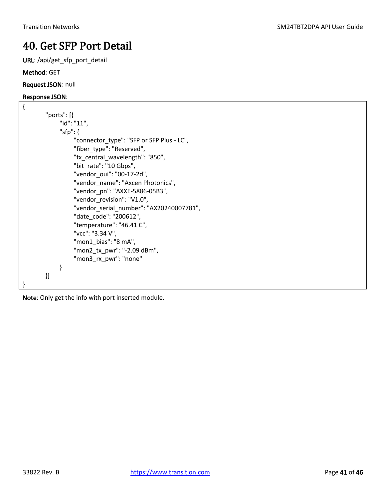### <span id="page-40-0"></span>40. Get SFP Port Detail

URL: /api/get\_sfp\_port\_detail

#### Method: GET

Request JSON: null

#### Response JSON:

```
{
        "ports": [{
              "id": "11",
              "sfp": {
                   "connector_type": "SFP or SFP Plus - LC",
                   "fiber_type": "Reserved",
                   "tx_central_wavelength": "850",
                   "bit_rate": "10 Gbps",
                   "vendor_oui": "00-17-2d",
                   "vendor_name": "Axcen Photonics",
                   "vendor_pn": "AXXE-5886-05B3",
                  "vendor_revision": "V1.0",
                   "vendor_serial_number": "AX20240007781",
                   "date_code": "200612",
                   "temperature": "46.41 C",
                   "vcc": "3.34 V",
                   "mon1_bias": "8 mA",
                  "mon2_tx_pwr": "-2.09 dBm",
                   "mon3_rx_pwr": "none"
              }
        }]
}
```
Note: Only get the info with port inserted module.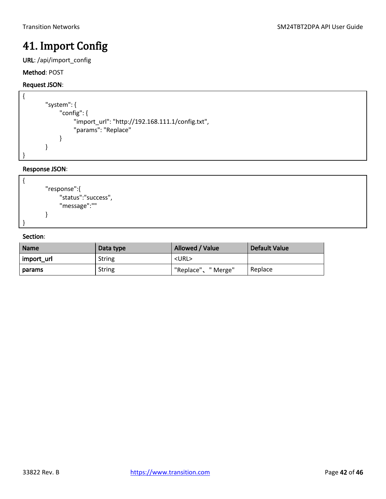### <span id="page-41-0"></span>41. Import Config

URL: /api/import\_config

#### Method: POST

#### Request JSON:

```
{
        "system": {
              "config": {
                    "import_url": "http://192.168.111.1/config.txt",
                   "params": "Replace"
              }
        }
}
```
#### Response JSON:



| <b>Name</b> | Data type     | Allowed / Value         | Default Value |
|-------------|---------------|-------------------------|---------------|
| import url  | <b>String</b> | <url></url>             |               |
| params      | <b>String</b> | "Replace"、'<br>" Merge" | Replace       |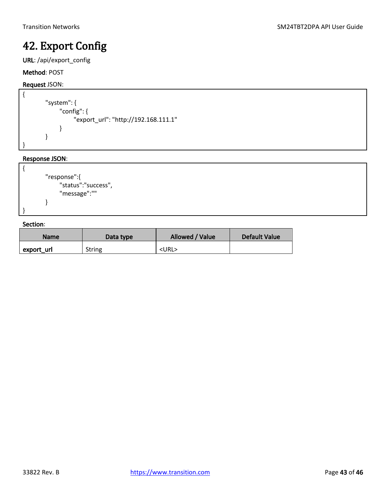### <span id="page-42-0"></span>42. Export Config

URL: /api/export\_config

#### Method: POST

#### Request JSON:

```
{ 
        "system": {
              "config": {
                    "export_url": "http://192.168.111.1"
               }
        }
}
```
#### Response JSON:

```
{
        "response":{
              "status":"success",
              "message":""
        }
}
```

| <b>Name</b> | Data type     | Allowed / Value | <b>Default Value</b> |
|-------------|---------------|-----------------|----------------------|
| export url  | <b>String</b> | <url></url>     |                      |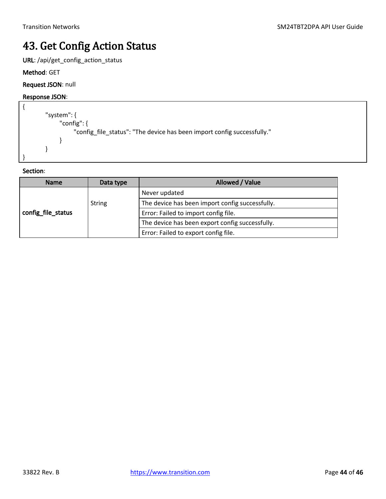### <span id="page-43-0"></span>43. Get Config Action Status

URL: /api/get\_config\_action\_status

Method: GET

#### Request JSON: null

#### Response JSON:

```
{
        "system": {
               "config": {
                    "config_file_status": "The device has been import config successfully."
               }
        }
}
```

| <b>Name</b>        | Data type     | Allowed / Value                                 |
|--------------------|---------------|-------------------------------------------------|
| config_file_status |               | Never updated                                   |
|                    | <b>String</b> | The device has been import config successfully. |
|                    |               | Error: Failed to import config file.            |
|                    |               | The device has been export config successfully. |
|                    |               | Error: Failed to export config file.            |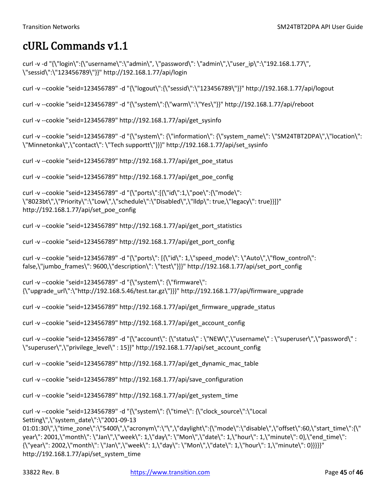### <span id="page-44-0"></span>cURL Commands v1.1

```
curl -v -d "{\"login\":{\"username\":\"admin\", \"password\": \"admin\",\"user_ip\":\"192.168.1.77\", 
\"sessid\":\"123456789\"}}" http://192.168.1.77/api/login
```
curl -v --cookie "seid=123456789" -d "{\"logout\":{\"sessid\":\"123456789\"}}" http://192.168.1.77/api/logout

curl -v --cookie "seid=123456789" -d "{\"system\":{\"warm\":\"Yes\"}}" http://192.168.1.77/api/reboot

curl -v --cookie "seid=123456789" http://192.168.1.77/api/get\_sysinfo

```
curl -v --cookie "seid=123456789" -d "{\"system\": {\"information\": {\"system_name\": \"SM24TBT2DPA\",\"location\": 
\"Minnetonka\",\"contact\": \"Tech supportt\"}}}" http://192.168.1.77/api/set_sysinfo
```
curl -v --cookie "seid=123456789" http://192.168.1.77/api/get\_poe\_status

curl -v --cookie "seid=123456789" http://192.168.1.77/api/get\_poe\_config

```
curl -v --cookie "seid=123456789" -d "{\"ports\":[{\"id\":1,\"poe\":{\"mode\": 
\"8023bt\",\"Priority\":\"Low\",\"schedule\":\"Disabled\",\"lldp\": true,\"legacy\": true}}]}" 
http://192.168.1.77/api/set_poe_config
```

```
curl -v --cookie "seid=123456789" http://192.168.1.77/api/get_port_statistics
```
curl -v --cookie "seid=123456789" http://192.168.1.77/api/get\_port\_config

```
curl -v --cookie "seid=123456789" -d "{\"ports\": [{\"id\": 1,\"speed_mode\": \"Auto\",\"flow_control\": 
false,\"jumbo_frames\": 9600,\"description\": \"test\"}]}" http://192.168.1.77/api/set_port_config
```
curl -v --cookie "seid=123456789" -d "{\"system\": {\"firmware\": {\"upgrade\_url\":\"http://192.168.5.46/test.tar.gz\"}}}" http://192.168.1.77/api/firmware\_upgrade

curl -v --cookie "seid=123456789" http://192.168.1.77/api/get\_firmware\_upgrade\_status

curl -v --cookie "seid=123456789" http://192.168.1.77/api/get\_account\_config

```
curl -v --cookie "seid=123456789" -d "{\"account\": {\"status\" : \"NEW\",\"username\" : \"superuser\",\"password\" : 
\"superuser\",\"privilege_level\" : 15}}" http://192.168.1.77/api/set_account_config
```
curl -v --cookie "seid=123456789" http://192.168.1.77/api/get\_dynamic\_mac\_table

curl -v --cookie "seid=123456789" http://192.168.1.77/api/save\_configuration

curl -v --cookie "seid=123456789" http://192.168.1.77/api/get\_system\_time

```
curl -v --cookie "seid=123456789" -d "{\"system\": {\"time\": {\"clock_source\":\"Local 
Setting\",\"system_date\":\"2001-09-13
```

```
01:01:30\",\"time_zone\":\"5400\",\"acronym\":\"\",\"daylight\":{\"mode\":\"disable\",\"offset\":60,\"start_time\":{\"
year\": 2001,\"month\": \"Jan\",\"week\": 1,\"day\": \"Mon\",\"date\": 1,\"hour\": 1,\"minute\": 0},\"end_time\": 
{\"year\": 2002,\"month\": \"Jan\",\"week\": 1,\"day\": \"Mon\",\"date\": 1,\"hour\": 1,\"minute\": 0}}}}}" 
http://192.168.1.77/api/set_system_time
```